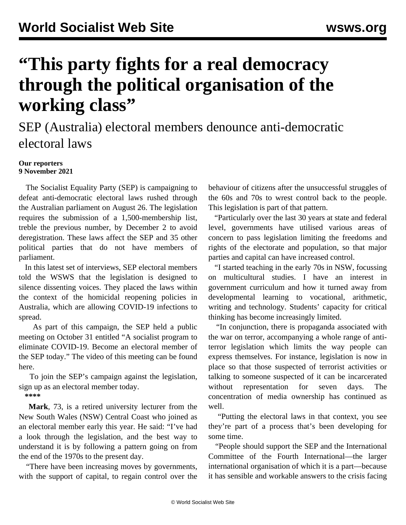## **"This party fights for a real democracy through the political organisation of the working class"**

## SEP (Australia) electoral members denounce anti-democratic electoral laws

## **Our reporters 9 November 2021**

 The Socialist Equality Party (SEP) is campaigning to defeat anti-democratic electoral laws rushed through the Australian parliament on August 26. The legislation requires the submission of a 1,500-membership list, treble the previous number, by December 2 to avoid deregistration. These laws affect the SEP and 35 other political parties that do not have members of parliament.

 In this latest set of interviews, SEP electoral members told the WSWS that the legislation is designed to silence dissenting voices. They placed the laws within the context of the homicidal reopening policies in Australia, which are allowing COVID-19 infections to spread.

 As part of this campaign, the SEP held a public meeting on October 31 entitled "A socialist program to eliminate COVID-19. Become an electoral member of the SEP today." The video of this meeting can be found [here.](/en/articles/2021/11/02/amee-n02.html)

 To join the SEP's campaign against the legislation, sign up as an electoral [member today.](/en/special/pages/sep/australia/home.html)

**\*\*\*\***

 **Mark**, 73, is a retired university lecturer from the New South Wales (NSW) Central Coast who joined as an electoral member early this year. He said: "I've had a look through the legislation, and the best way to understand it is by following a pattern going on from the end of the 1970s to the present day.

 "There have been increasing moves by governments, with the support of capital, to regain control over the

behaviour of citizens after the unsuccessful struggles of the 60s and 70s to wrest control back to the people. This legislation is part of that pattern.

 "Particularly over the last 30 years at state and federal level, governments have utilised various areas of concern to pass legislation limiting the freedoms and rights of the electorate and population, so that major parties and capital can have increased control.

 "I started teaching in the early 70s in NSW, focussing on multicultural studies. I have an interest in government curriculum and how it turned away from developmental learning to vocational, arithmetic, writing and technology. Students' capacity for critical thinking has become increasingly limited.

 "In conjunction, there is propaganda associated with the war on terror, accompanying a whole range of antiterror legislation which limits the way people can express themselves. For instance, legislation is now in place so that those suspected of terrorist activities or talking to someone suspected of it can be incarcerated without representation for seven days. The concentration of media ownership has continued as well.

 "Putting the electoral laws in that context, you see they're part of a process that's been developing for some time.

 "People should support the SEP and the International Committee of the Fourth International—the larger international organisation of which it is a part—because it has sensible and workable answers to the crisis facing